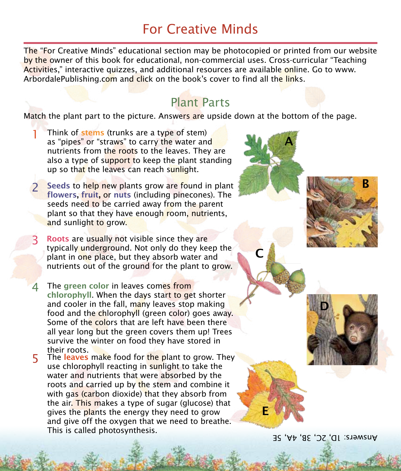# For Creative Minds

The "For Creative Minds" educational section may be photocopied or printed from our website by the owner of this book for educational, non-commercial uses. Cross-curricular "Teaching Activities," interactive quizzes, and additional resources are available online. Go to www. ArbordalePublishing.com and click on the book's cover to find all the links.

#### Plant Parts

Match the plant part to the picture. Answers are upside down at the bottom of the page.

- Think of stems (trunks are a type of stem) as "pipes" or "straws" to carry the water and nutrients from the roots to the leaves. They are also a type of support to keep the plant standing up so that the leaves can reach sunlight. 1
- Seeds to help new plants grow are found in plant flowers, fruit, or nuts (including pinecones). The seeds need to be carried away from the parent plant so that they have enough room, nutrients, and sunlight to grow. 2
- Roots are usually not visible since they are typically underground. Not only do they keep the plant in one place, but they absorb water and nutrients out of the ground for the plant to grow. 3
- The green color in leaves comes from chlorophyll. When the days start to get shorter and cooler in the fall, many leaves stop making food and the chlorophyll (green color) goes away. Some of the colors that are left have been there all year long but the green covers them up! Trees survive the winter on food they have stored in their roots. 4
- The **leaves** make food for the plant to grow. They use chlorophyll reacting in sunlight to take the water and nutrients that were absorbed by the roots and carried up by the stem and combine it with gas (carbon dioxide) that they absorb from the air. This makes a type of sugar (glucose) that gives the plants the energy they need to grow and give off the oxygen that we need to breathe. This is called photosynthesis. 5

B

A

C

E



Answers: 1D, 2C, 3B, 4A, 5E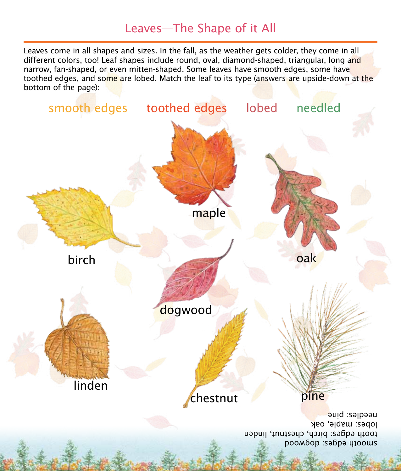### Leaves—The Shape of it All

Leaves come in all shapes and sizes. In the fall, as the weather gets colder, they come in all different colors, too! Leaf shapes include round, oval, diamond-shaped, triangular, long and narrow, fan-shaped, or even mitten-shaped. Some leaves have smooth edges, some have toothed edges, and some are lobed. Match the leaf to its type (answers are upside-down at the bottom of the page):

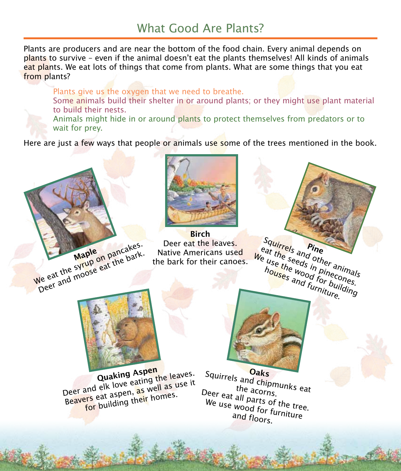## What Good Are Plants?

Plants are producers and are near the bottom of the food chain. Every animal depends on plants to survive – even if the animal doesn't eat the plants themselves! All kinds of animals eat plants. We eat lots of things that come from plants. What are some things that you eat from plants?

Plants give us the oxygen that we need to breathe. Some animals build their shelter in or around plants; or they might use plant material to build their nests. Animals might hide in or around plants to protect themselves from predators or to

wait for prey.

Here are just a few ways that people or animals use some of the trees mentioned in the book.



Birch Deer eat the leaves. Native Americans used the bark for their canoes.

Pine Squirrels **Pine**<br>at the seeds in piner animals<br>houses wood fineconals eat the seeds in pinecones.<br>
Le use the wood pinecones.<br>
houses and furniture. We use the seeds other animals<br>houses wood furnecones.



Maple We eat the syrup on pancakes.

> Quaking Aspen Deer and elk love eating the leaves. Beavers eat aspen, as well as use it for building their homes.

**Oaks** Squirrels and chipmunks eat the acorns. Deer eat all parts of the tree. We use wood for furniture and floors.